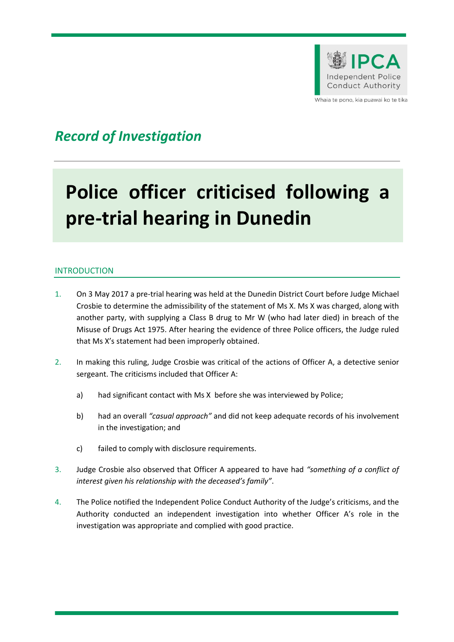

Whaia te pono, kia puawai ko te tika

## *Record of Investigation*

# **Police officer criticised following a pre-trial hearing in Dunedin**

### INTRODUCTION

- 1. On 3 May 2017 a pre-trial hearing was held at the Dunedin District Court before Judge Michael Crosbie to determine the admissibility of the statement of Ms X. Ms X was charged, along with another party, with supplying a Class B drug to Mr W (who had later died) in breach of the Misuse of Drugs Act 1975. After hearing the evidence of three Police officers, the Judge ruled that Ms X's statement had been improperly obtained.
- 2. In making this ruling, Judge Crosbie was critical of the actions of Officer A, a detective senior sergeant. The criticisms included that Officer A:
	- a) had significant contact with Ms X before she was interviewed by Police;
	- b) had an overall *"casual approach"* and did not keep adequate records of his involvement in the investigation; and
	- c) failed to comply with disclosure requirements.
- 3. Judge Crosbie also observed that Officer A appeared to have had *"something of a conflict of interest given his relationship with the deceased's family"*.
- 4. The Police notified the Independent Police Conduct Authority of the Judge's criticisms, and the Authority conducted an independent investigation into whether Officer A's role in the investigation was appropriate and complied with good practice.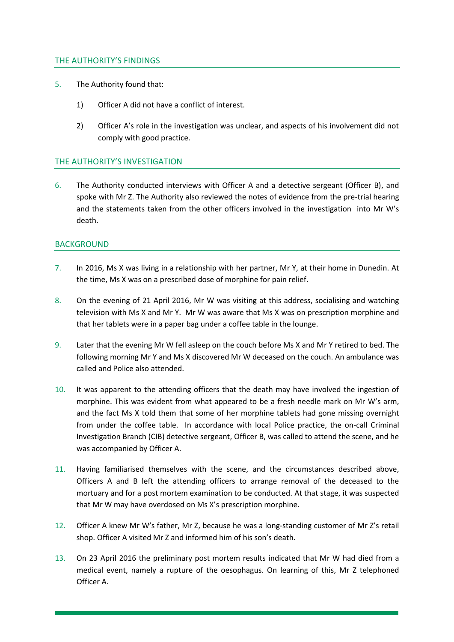#### THE AUTHORITY'S FINDINGS

- 5. The Authority found that:
	- 1) Officer A did not have a conflict of interest.
	- 2) Officer A's role in the investigation was unclear, and aspects of his involvement did not comply with good practice.

#### THE AUTHORITY'S INVESTIGATION

6. The Authority conducted interviews with Officer A and a detective sergeant (Officer B), and spoke with Mr Z. The Authority also reviewed the notes of evidence from the pre-trial hearing and the statements taken from the other officers involved in the investigation into Mr W's death.

#### BACKGROUND

- 7. In 2016, Ms X was living in a relationship with her partner, Mr Y, at their home in Dunedin. At the time, Ms X was on a prescribed dose of morphine for pain relief.
- 8. On the evening of 21 April 2016, Mr W was visiting at this address, socialising and watching television with Ms X and Mr Y. Mr W was aware that Ms X was on prescription morphine and that her tablets were in a paper bag under a coffee table in the lounge.
- 9. Later that the evening Mr W fell asleep on the couch before Ms X and Mr Y retired to bed. The following morning Mr Y and Ms X discovered Mr W deceased on the couch. An ambulance was called and Police also attended.
- 10. It was apparent to the attending officers that the death may have involved the ingestion of morphine. This was evident from what appeared to be a fresh needle mark on Mr W's arm, and the fact Ms X told them that some of her morphine tablets had gone missing overnight from under the coffee table. In accordance with local Police practice, the on-call Criminal Investigation Branch (CIB) detective sergeant, Officer B, was called to attend the scene, and he was accompanied by Officer A.
- 11. Having familiarised themselves with the scene, and the circumstances described above, Officers A and B left the attending officers to arrange removal of the deceased to the mortuary and for a post mortem examination to be conducted. At that stage, it was suspected that Mr W may have overdosed on Ms X's prescription morphine.
- 12. Officer A knew Mr W's father, Mr Z, because he was a long-standing customer of Mr Z's retail shop. Officer A visited Mr Z and informed him of his son's death.
- 13. On 23 April 2016 the preliminary post mortem results indicated that Mr W had died from a medical event, namely a rupture of the oesophagus. On learning of this, Mr Z telephoned Officer A.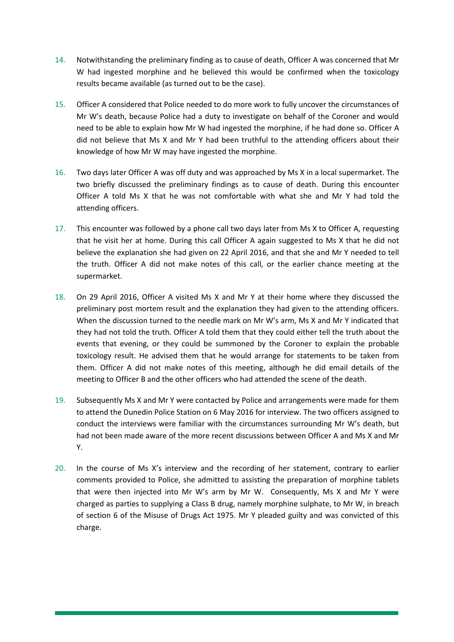- 14. Notwithstanding the preliminary finding as to cause of death, Officer A was concerned that Mr W had ingested morphine and he believed this would be confirmed when the toxicology results became available (as turned out to be the case).
- 15. Officer A considered that Police needed to do more work to fully uncover the circumstances of Mr W's death, because Police had a duty to investigate on behalf of the Coroner and would need to be able to explain how Mr W had ingested the morphine, if he had done so. Officer A did not believe that Ms X and Mr Y had been truthful to the attending officers about their knowledge of how Mr W may have ingested the morphine.
- 16. Two days later Officer A was off duty and was approached by Ms X in a local supermarket. The two briefly discussed the preliminary findings as to cause of death. During this encounter Officer A told Ms X that he was not comfortable with what she and Mr Y had told the attending officers.
- 17. This encounter was followed by a phone call two days later from Ms X to Officer A, requesting that he visit her at home. During this call Officer A again suggested to Ms X that he did not believe the explanation she had given on 22 April 2016, and that she and Mr Y needed to tell the truth. Officer A did not make notes of this call, or the earlier chance meeting at the supermarket.
- 18. On 29 April 2016, Officer A visited Ms X and Mr Y at their home where they discussed the preliminary post mortem result and the explanation they had given to the attending officers. When the discussion turned to the needle mark on Mr W's arm, Ms X and Mr Y indicated that they had not told the truth. Officer A told them that they could either tell the truth about the events that evening, or they could be summoned by the Coroner to explain the probable toxicology result. He advised them that he would arrange for statements to be taken from them. Officer A did not make notes of this meeting, although he did email details of the meeting to Officer B and the other officers who had attended the scene of the death.
- 19. Subsequently Ms X and Mr Y were contacted by Police and arrangements were made for them to attend the Dunedin Police Station on 6 May 2016 for interview. The two officers assigned to conduct the interviews were familiar with the circumstances surrounding Mr W's death, but had not been made aware of the more recent discussions between Officer A and Ms X and Mr Y.
- 20. In the course of Ms X's interview and the recording of her statement, contrary to earlier comments provided to Police, she admitted to assisting the preparation of morphine tablets that were then injected into Mr W's arm by Mr W. Consequently, Ms X and Mr Y were charged as parties to supplying a Class B drug, namely morphine sulphate, to Mr W, in breach of section 6 of the Misuse of Drugs Act 1975. Mr Y pleaded guilty and was convicted of this charge.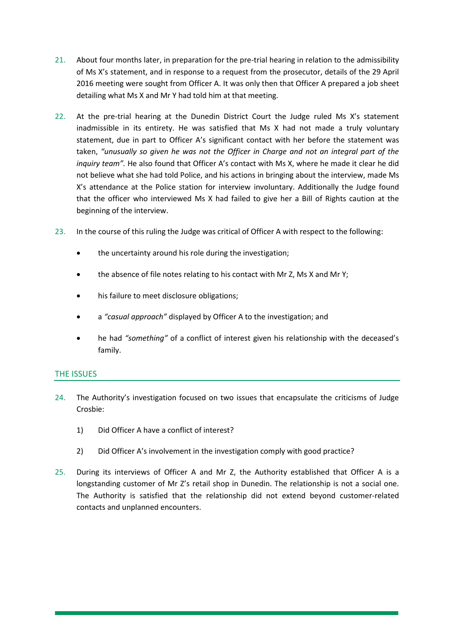- 21. About four months later, in preparation for the pre-trial hearing in relation to the admissibility of Ms X's statement, and in response to a request from the prosecutor, details of the 29 April 2016 meeting were sought from Officer A. It was only then that Officer A prepared a job sheet detailing what Ms X and Mr Y had told him at that meeting.
- 22. At the pre-trial hearing at the Dunedin District Court the Judge ruled Ms X's statement inadmissible in its entirety. He was satisfied that Ms X had not made a truly voluntary statement, due in part to Officer A's significant contact with her before the statement was taken, *"unusually so given he was not the Officer in Charge and not an integral part of the inquiry team".* He also found that Officer A's contact with Ms X, where he made it clear he did not believe what she had told Police, and his actions in bringing about the interview, made Ms X's attendance at the Police station for interview involuntary. Additionally the Judge found that the officer who interviewed Ms X had failed to give her a Bill of Rights caution at the beginning of the interview.
- 23. In the course of this ruling the Judge was critical of Officer A with respect to the following:
	- the uncertainty around his role during the investigation;
	- the absence of file notes relating to his contact with Mr Z, Ms X and Mr Y;
	- his failure to meet disclosure obligations;
	- a *"casual approach"* displayed by Officer A to the investigation; and
	- he had *"something"* of a conflict of interest given his relationship with the deceased's family.

#### THE ISSUES

- 24. The Authority's investigation focused on two issues that encapsulate the criticisms of Judge Crosbie:
	- 1) Did Officer A have a conflict of interest?
	- 2) Did Officer A's involvement in the investigation comply with good practice?
- 25. During its interviews of Officer A and Mr Z, the Authority established that Officer A is a longstanding customer of Mr Z's retail shop in Dunedin. The relationship is not a social one. The Authority is satisfied that the relationship did not extend beyond customer-related contacts and unplanned encounters.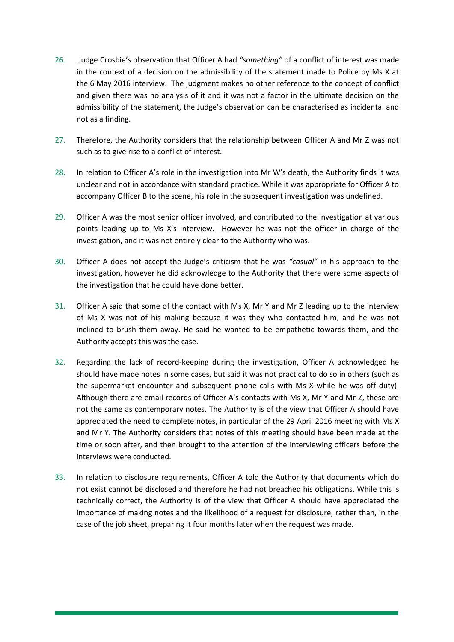- 26. Judge Crosbie's observation that Officer A had *"something"* of a conflict of interest was made in the context of a decision on the admissibility of the statement made to Police by Ms X at the 6 May 2016 interview. The judgment makes no other reference to the concept of conflict and given there was no analysis of it and it was not a factor in the ultimate decision on the admissibility of the statement, the Judge's observation can be characterised as incidental and not as a finding.
- 27. Therefore, the Authority considers that the relationship between Officer A and Mr Z was not such as to give rise to a conflict of interest.
- 28. In relation to Officer A's role in the investigation into Mr W's death, the Authority finds it was unclear and not in accordance with standard practice. While it was appropriate for Officer A to accompany Officer B to the scene, his role in the subsequent investigation was undefined.
- 29. Officer A was the most senior officer involved, and contributed to the investigation at various points leading up to Ms X's interview. However he was not the officer in charge of the investigation, and it was not entirely clear to the Authority who was.
- 30. Officer A does not accept the Judge's criticism that he was *"casual"* in his approach to the investigation, however he did acknowledge to the Authority that there were some aspects of the investigation that he could have done better.
- 31. Officer A said that some of the contact with Ms X, Mr Y and Mr Z leading up to the interview of Ms X was not of his making because it was they who contacted him, and he was not inclined to brush them away. He said he wanted to be empathetic towards them, and the Authority accepts this was the case.
- 32. Regarding the lack of record-keeping during the investigation, Officer A acknowledged he should have made notes in some cases, but said it was not practical to do so in others (such as the supermarket encounter and subsequent phone calls with Ms X while he was off duty). Although there are email records of Officer A's contacts with Ms X, Mr Y and Mr Z, these are not the same as contemporary notes. The Authority is of the view that Officer A should have appreciated the need to complete notes, in particular of the 29 April 2016 meeting with Ms X and Mr Y. The Authority considers that notes of this meeting should have been made at the time or soon after, and then brought to the attention of the interviewing officers before the interviews were conducted.
- 33. In relation to disclosure requirements, Officer A told the Authority that documents which do not exist cannot be disclosed and therefore he had not breached his obligations. While this is technically correct, the Authority is of the view that Officer A should have appreciated the importance of making notes and the likelihood of a request for disclosure, rather than, in the case of the job sheet, preparing it four months later when the request was made.